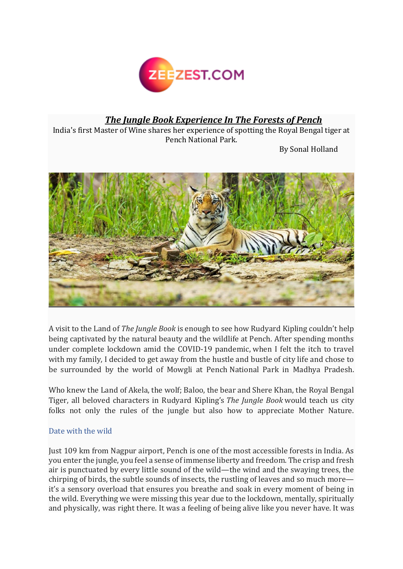

## *The Jungle Book Experience In The Forests of Pench*

India's first Master of Wine shares her experience of spotting the Royal Bengal tiger at Pench National Park.

By Sonal Holland



A visit to the Land of *The Jungle Book* is enough to see how Rudyard Kipling couldn't help being captivated by the natural beauty and the wildlife at Pench. After spending months under complete lockdown amid the COVID-19 pandemic, when I felt the itch to travel with my family, I decided to get away from the hustle and bustle of city life and chose to be surrounded by the world of Mowgli at Pench National Park in Madhya Pradesh.

Who knew the Land of Akela, the wolf; Baloo, the bear and Shere Khan, the Royal Bengal Tiger, all beloved characters in Rudyard Kipling's *The Jungle Book* would teach us city folks not only the rules of the jungle but also how to appreciate Mother Nature.

## Date with the wild

Just 109 km from Nagpur airport, Pench is one of the most accessible forests in India. As you enter the jungle, you feel a sense of immense liberty and freedom. The crisp and fresh air is punctuated by every little sound of the wild—the wind and the swaying trees, the chirping of birds, the subtle sounds of insects, the rustling of leaves and so much more it's a sensory overload that ensures you breathe and soak in every moment of being in the wild. Everything we were missing this year due to the lockdown, mentally, spiritually and physically, was right there. It was a feeling of being alive like you never have. It was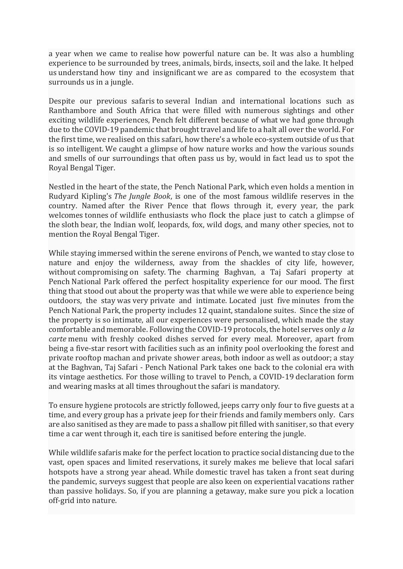a year when we came to realise how powerful nature can be. It was also a humbling experience to be surrounded by trees, animals, birds, insects, soil and the lake. It helped us understand how tiny and insignificant we are as compared to the ecosystem that surrounds us in a jungle.

Despite our previous safaris to several Indian and international locations such as Ranthambore and South Africa that were filled with numerous sightings and other exciting wildlife experiences, Pench felt different because of what we had gone through due to the COVID-19 pandemic that brought travel and life to a halt all over the world. For the first time, we realised on this safari, how there's a whole eco-system outside of us that is so intelligent. We caught a glimpse of how nature works and how the various sounds and smells of our surroundings that often pass us by, would in fact lead us to spot the Royal Bengal Tiger.

Nestled in the heart of the state, the Pench National Park, which even holds a mention in Rudyard Kipling's *The Jungle Book*, is one of the most famous wildlife reserves in the country. Named after the River Pence that flows through it, every year, the park welcomes tonnes of wildlife enthusiasts who flock the place just to catch a glimpse of the sloth bear, the Indian wolf, leopards, fox, wild dogs, and many other species, not to mention the Royal Bengal Tiger.

While staying immersed within the serene environs of Pench, we wanted to stay close to nature and enjoy the wilderness, away from the shackles of city life, however, without compromising on safety. The charming Baghvan, a Taj Safari property at Pench National Park offered the perfect hospitality experience for our mood. The first thing that stood out about the property was that while we were able to experience being outdoors, the stay was very private and intimate. Located just five minutes from the Pench National Park, the property includes 12 quaint, standalone suites. Since the size of the property is so intimate, all our experiences were personalised, which made the stay comfortable and memorable. Following the COVID-19 protocols, the hotel serves only *a la carte* menu with freshly cooked dishes served for every meal. Moreover, apart from being a five-star resort with facilities such as an infinity pool overlooking the forest and private rooftop machan and private shower areas, both indoor as well as outdoor; a stay at the Baghvan, Taj Safari - Pench National Park takes one back to the colonial era with its vintage aesthetics. For those willing to travel to Pench, a COVID-19 declaration form and wearing masks at all times throughout the safari is mandatory.

To ensure hygiene protocols are strictly followed, jeeps carry only four to five guests at a time, and every group has a private jeep for their friends and family members only. Cars are also sanitised as they are made to pass a shallow pit filled with sanitiser, so that every time a car went through it, each tire is sanitised before entering the jungle.

While wildlife safaris make for the perfect location to practice social distancing due to the vast, open spaces and limited reservations, it surely makes me believe that local safari hotspots have a strong year ahead. While domestic travel has taken a front seat during the pandemic, surveys suggest that people are also keen on experiential vacations rather than passive holidays. So, if you are planning a getaway, make sure you pick a location off-grid into nature.